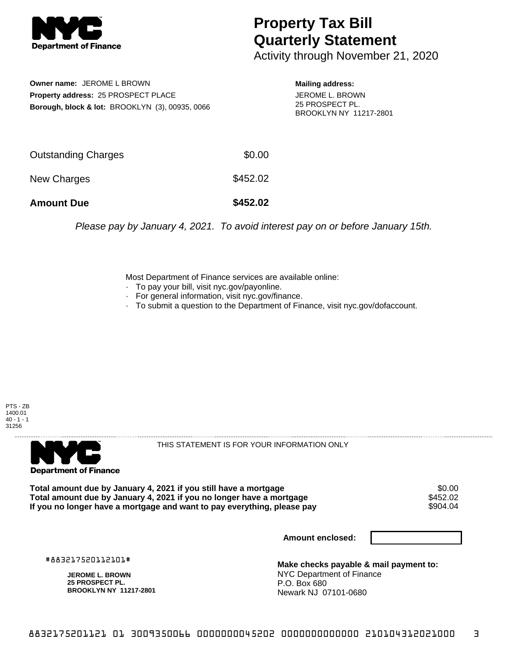

## **Property Tax Bill Quarterly Statement**

Activity through November 21, 2020

**Owner name:** JEROME L BROWN **Property address:** 25 PROSPECT PLACE **Borough, block & lot:** BROOKLYN (3), 00935, 0066

**Mailing address:** JEROME L. BROWN 25 PROSPECT PL. BROOKLYN NY 11217-2801

| <b>Amount Due</b>          | \$452.02 |
|----------------------------|----------|
| New Charges                | \$452.02 |
| <b>Outstanding Charges</b> | \$0.00   |

Please pay by January 4, 2021. To avoid interest pay on or before January 15th.

Most Department of Finance services are available online:

- · To pay your bill, visit nyc.gov/payonline.
- For general information, visit nyc.gov/finance.
- · To submit a question to the Department of Finance, visit nyc.gov/dofaccount.





THIS STATEMENT IS FOR YOUR INFORMATION ONLY

Total amount due by January 4, 2021 if you still have a mortgage \$0.00<br>Total amount due by January 4, 2021 if you no longer have a mortgage \$452.02 **Total amount due by January 4, 2021 if you no longer have a mortgage**  $$452.02$ **<br>If you no longer have a mortgage and want to pay everything, please pay** If you no longer have a mortgage and want to pay everything, please pay

**Amount enclosed:**

#883217520112101#

**JEROME L. BROWN 25 PROSPECT PL. BROOKLYN NY 11217-2801**

**Make checks payable & mail payment to:** NYC Department of Finance P.O. Box 680 Newark NJ 07101-0680